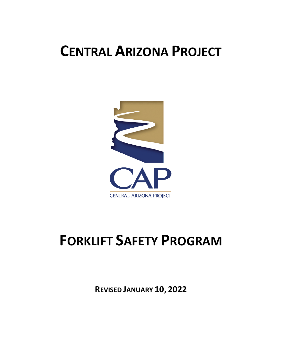# **CENTRAL ARIZONA PROJECT**



# **FORKLIFT SAFETY PROGRAM**

**REVISED JANUARY 10, 2022**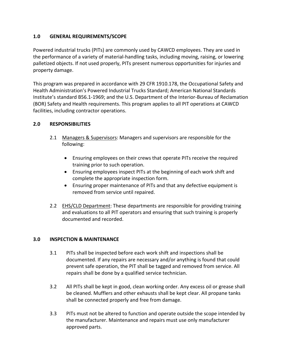# **1.0 GENERAL REQUIREMENTS/SCOPE**

Powered industrial trucks (PITs) are commonly used by CAWCD employees. They are used in the performance of a variety of material-handling tasks, including moving, raising, or lowering palletized objects. If not used properly, PITs present numerous opportunities for injuries and property damage.

This program was prepared in accordance with 29 CFR 1910.178, the Occupational Safety and Health Administration's Powered Industrial Trucks Standard; American National Standards Institute's standard B56.1-1969; and the U.S. Department of the Interior-Bureau of Reclamation (BOR) Safety and Health requirements. This program applies to all PIT operations at CAWCD facilities, including contractor operations.

# **2.0 RESPONSIBILITIES**

- 2.1 Managers & Supervisors: Managers and supervisors are responsible for the following:
	- Ensuring employees on their crews that operate PITs receive the required training prior to such operation.
	- Ensuring employees inspect PITs at the beginning of each work shift and complete the appropriate inspection form.
	- Ensuring proper maintenance of PITs and that any defective equipment is removed from service until repaired.
- 2.2 EHS/CLD Department: These departments are responsible for providing training and evaluations to all PIT operators and ensuring that such training is properly documented and recorded.

#### **3.0 INSPECTION & MAINTENANCE**

- 3.1 PITs shall be inspected before each work shift and inspections shall be documented. If any repairs are necessary and/or anything is found that could prevent safe operation, the PIT shall be tagged and removed from service. All repairs shall be done by a qualified service technician.
- 3.2 All PITs shall be kept in good, clean working order. Any excess oil or grease shall be cleaned. Mufflers and other exhausts shall be kept clear. All propane tanks shall be connected properly and free from damage.
- 3.3 PITs must not be altered to function and operate outside the scope intended by the manufacturer. Maintenance and repairs must use only manufacturer approved parts.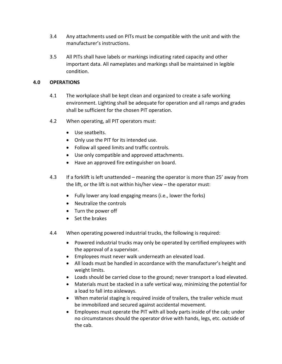- 3.4 Any attachments used on PITs must be compatible with the unit and with the manufacturer's instructions.
- 3.5 All PITs shall have labels or markings indicating rated capacity and other important data. All nameplates and markings shall be maintained in legible condition.

# **4.0 OPERATIONS**

- 4.1 The workplace shall be kept clean and organized to create a safe working environment. Lighting shall be adequate for operation and all ramps and grades shall be sufficient for the chosen PIT operation.
- 4.2 When operating, all PIT operators must:
	- Use seatbelts.
	- Only use the PIT for its intended use.
	- Follow all speed limits and traffic controls.
	- Use only compatible and approved attachments.
	- Have an approved fire extinguisher on board.
- 4.3 If a forklift is left unattended meaning the operator is more than 25' away from the lift, or the lift is not within his/her view – the operator must:
	- Fully lower any load engaging means (i.e., lower the forks)
	- Neutralize the controls
	- Turn the power off
	- Set the brakes
- 4.4 When operating powered industrial trucks, the following is required:
	- Powered industrial trucks may only be operated by certified employees with the approval of a supervisor.
	- Employees must never walk underneath an elevated load.
	- All loads must be handled in accordance with the manufacturer's height and weight limits.
	- Loads should be carried close to the ground; never transport a load elevated.
	- Materials must be stacked in a safe vertical way, minimizing the potential for a load to fall into aisleways.
	- When material staging is required inside of trailers, the trailer vehicle must be immobilized and secured against accidental movement.
	- Employees must operate the PIT with all body parts inside of the cab; under no circumstances should the operator drive with hands, legs, etc. outside of the cab.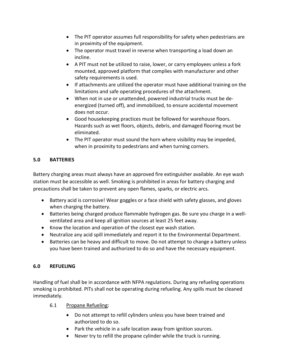- The PIT operator assumes full responsibility for safety when pedestrians are in proximity of the equipment.
- The operator must travel in reverse when transporting a load down an incline.
- A PIT must not be utilized to raise, lower, or carry employees unless a fork mounted, approved platform that complies with manufacturer and other safety requirements is used.
- If attachments are utilized the operator must have additional training on the limitations and safe operating procedures of the attachment.
- When not in use or unattended, powered industrial trucks must be deenergized (turned off), and immobilized, to ensure accidental movement does not occur.
- Good housekeeping practices must be followed for warehouse floors. Hazards such as wet floors, objects, debris, and damaged flooring must be eliminated.
- The PIT operator must sound the horn where visibility may be impeded, when in proximity to pedestrians and when turning corners.

# **5.0 BATTERIES**

Battery charging areas must always have an approved fire extinguisher available. An eye wash station must be accessible as well. Smoking is prohibited in areas for battery charging and precautions shall be taken to prevent any open flames, sparks, or electric arcs.

- Battery acid is corrosive! Wear goggles or a face shield with safety glasses, and gloves when charging the battery.
- Batteries being charged produce flammable hydrogen gas. Be sure you charge in a wellventilated area and keep all ignition sources at least 25 feet away.
- Know the location and operation of the closest eye wash station.
- Neutralize any acid spill immediately and report it to the Environmental Department.
- Batteries can be heavy and difficult to move. Do not attempt to change a battery unless you have been trained and authorized to do so and have the necessary equipment.

# **6.0 REFUELING**

Handling of fuel shall be in accordance with NFPA regulations. During any refueling operations smoking is prohibited. PITs shall not be operating during refueling. Any spills must be cleaned immediately.

- 6.1 Propane Refueling:
	- Do not attempt to refill cylinders unless you have been trained and authorized to do so.
	- Park the vehicle in a safe location away from ignition sources.
	- Never try to refill the propane cylinder while the truck is running.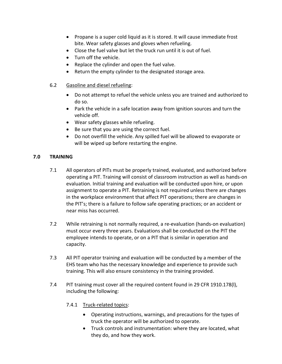- Propane is a super cold liquid as it is stored. It will cause immediate frost bite. Wear safety glasses and gloves when refueling.
- Close the fuel valve but let the truck run until it is out of fuel.
- Turn off the vehicle.
- Replace the cylinder and open the fuel valve.
- Return the empty cylinder to the designated storage area.
- 6.2 Gasoline and diesel refueling:
	- Do not attempt to refuel the vehicle unless you are trained and authorized to do so.
	- Park the vehicle in a safe location away from ignition sources and turn the vehicle off.
	- Wear safety glasses while refueling.
	- Be sure that you are using the correct fuel.
	- Do not overfill the vehicle. Any spilled fuel will be allowed to evaporate or will be wiped up before restarting the engine.

# **7.0 TRAINING**

- 7.1 All operators of PITs must be properly trained, evaluated, and authorized before operating a PIT. Training will consist of classroom instruction as well as hands-on evaluation. Initial training and evaluation will be conducted upon hire, or upon assignment to operate a PIT. Retraining is not required unless there are changes in the workplace environment that affect PIT operations; there are changes in the PIT's; there is a failure to follow safe operating practices; or an accident or near miss has occurred.
- 7.2 While retraining is not normally required, a re-evaluation (hands-on evaluation) must occur every three years. Evaluations shall be conducted on the PIT the employee intends to operate, or on a PIT that is similar in operation and capacity.
- 7.3 All PIT operator training and evaluation will be conducted by a member of the EHS team who has the necessary knowledge and experience to provide such training. This will also ensure consistency in the training provided.
- 7.4 PIT training must cover all the required content found in 29 CFR 1910.178(l), including the following:

# 7.4.1 Truck-related topics:

- Operating instructions, warnings, and precautions for the types of truck the operator will be authorized to operate.
- Truck controls and instrumentation: where they are located, what they do, and how they work.